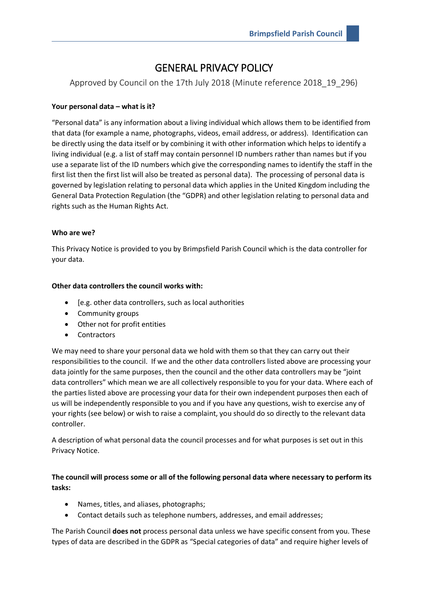# GENERAL PRIVACY POLICY

Approved by Council on the 17th July 2018 (Minute reference 2018\_19\_296)

# **Your personal data – what is it?**

"Personal data" is any information about a living individual which allows them to be identified from that data (for example a name, photographs, videos, email address, or address). Identification can be directly using the data itself or by combining it with other information which helps to identify a living individual (e.g. a list of staff may contain personnel ID numbers rather than names but if you use a separate list of the ID numbers which give the corresponding names to identify the staff in the first list then the first list will also be treated as personal data). The processing of personal data is governed by legislation relating to personal data which applies in the United Kingdom including the General Data Protection Regulation (the "GDPR) and other legislation relating to personal data and rights such as the Human Rights Act.

## **Who are we?**

This Privacy Notice is provided to you by Brimpsfield Parish Council which is the data controller for your data.

# **Other data controllers the council works with:**

- [e.g. other data controllers, such as local authorities
- Community groups
- Other not for profit entities
- **Contractors**

We may need to share your personal data we hold with them so that they can carry out their responsibilities to the council. If we and the other data controllers listed above are processing your data jointly for the same purposes, then the council and the other data controllers may be "joint data controllers" which mean we are all collectively responsible to you for your data. Where each of the parties listed above are processing your data for their own independent purposes then each of us will be independently responsible to you and if you have any questions, wish to exercise any of your rights (see below) or wish to raise a complaint, you should do so directly to the relevant data controller.

A description of what personal data the council processes and for what purposes is set out in this Privacy Notice.

# **The council will process some or all of the following personal data where necessary to perform its tasks:**

- Names, titles, and aliases, photographs;
- Contact details such as telephone numbers, addresses, and email addresses;

The Parish Council **does not** process personal data unless we have specific consent from you. These types of data are described in the GDPR as "Special categories of data" and require higher levels of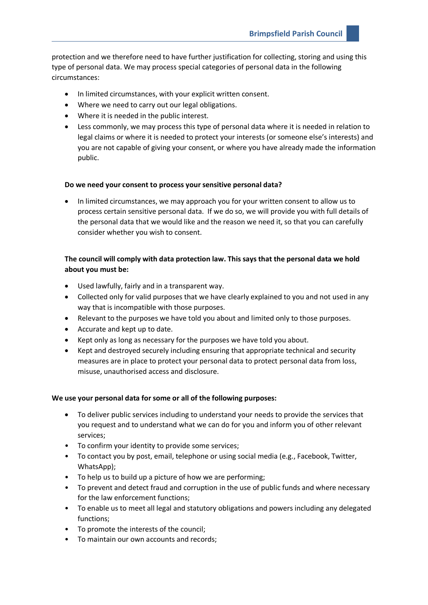protection and we therefore need to have further justification for collecting, storing and using this type of personal data. We may process special categories of personal data in the following circumstances:

- In limited circumstances, with your explicit written consent.
- Where we need to carry out our legal obligations.
- Where it is needed in the public interest.
- Less commonly, we may process this type of personal data where it is needed in relation to legal claims or where it is needed to protect your interests (or someone else's interests) and you are not capable of giving your consent, or where you have already made the information public.

#### **Do we need your consent to process your sensitive personal data?**

• In limited circumstances, we may approach you for your written consent to allow us to process certain sensitive personal data. If we do so, we will provide you with full details of the personal data that we would like and the reason we need it, so that you can carefully consider whether you wish to consent.

# **The council will comply with data protection law. This says that the personal data we hold about you must be:**

- Used lawfully, fairly and in a transparent way.
- Collected only for valid purposes that we have clearly explained to you and not used in any way that is incompatible with those purposes.
- Relevant to the purposes we have told you about and limited only to those purposes.
- Accurate and kept up to date.
- Kept only as long as necessary for the purposes we have told you about.
- Kept and destroyed securely including ensuring that appropriate technical and security measures are in place to protect your personal data to protect personal data from loss, misuse, unauthorised access and disclosure.

#### **We use your personal data for some or all of the following purposes:**

- To deliver public services including to understand your needs to provide the services that you request and to understand what we can do for you and inform you of other relevant services;
- To confirm your identity to provide some services;
- To contact you by post, email, telephone or using social media (e.g., Facebook, Twitter, WhatsApp);
- To help us to build up a picture of how we are performing;
- To prevent and detect fraud and corruption in the use of public funds and where necessary for the law enforcement functions;
- To enable us to meet all legal and statutory obligations and powers including any delegated functions;
- To promote the interests of the council;
- To maintain our own accounts and records;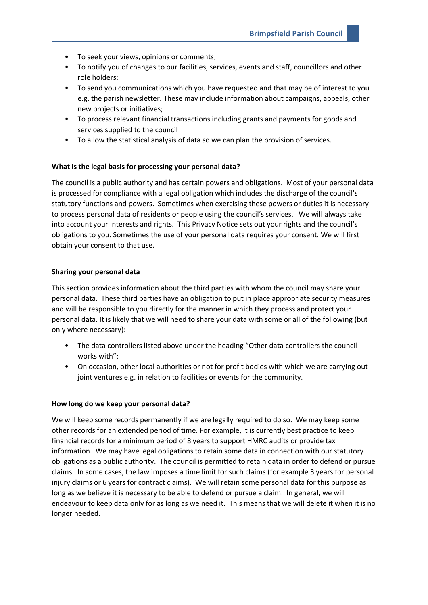- To seek your views, opinions or comments;
- To notify you of changes to our facilities, services, events and staff, councillors and other role holders;
- To send you communications which you have requested and that may be of interest to you e.g. the parish newsletter. These may include information about campaigns, appeals, other new projects or initiatives;
- To process relevant financial transactions including grants and payments for goods and services supplied to the council
- To allow the statistical analysis of data so we can plan the provision of services.

#### **What is the legal basis for processing your personal data?**

The council is a public authority and has certain powers and obligations. Most of your personal data is processed for compliance with a legal obligation which includes the discharge of the council's statutory functions and powers. Sometimes when exercising these powers or duties it is necessary to process personal data of residents or people using the council's services. We will always take into account your interests and rights. This Privacy Notice sets out your rights and the council's obligations to you. Sometimes the use of your personal data requires your consent. We will first obtain your consent to that use.

#### **Sharing your personal data**

This section provides information about the third parties with whom the council may share your personal data. These third parties have an obligation to put in place appropriate security measures and will be responsible to you directly for the manner in which they process and protect your personal data. It is likely that we will need to share your data with some or all of the following (but only where necessary):

- The data controllers listed above under the heading "Other data controllers the council works with";
- On occasion, other local authorities or not for profit bodies with which we are carrying out joint ventures e.g. in relation to facilities or events for the community.

#### **How long do we keep your personal data?**

We will keep some records permanently if we are legally required to do so. We may keep some other records for an extended period of time. For example, it is currently best practice to keep financial records for a minimum period of 8 years to support HMRC audits or provide tax information. We may have legal obligations to retain some data in connection with our statutory obligations as a public authority. The council is permitted to retain data in order to defend or pursue claims. In some cases, the law imposes a time limit for such claims (for example 3 years for personal injury claims or 6 years for contract claims). We will retain some personal data for this purpose as long as we believe it is necessary to be able to defend or pursue a claim. In general, we will endeavour to keep data only for as long as we need it. This means that we will delete it when it is no longer needed.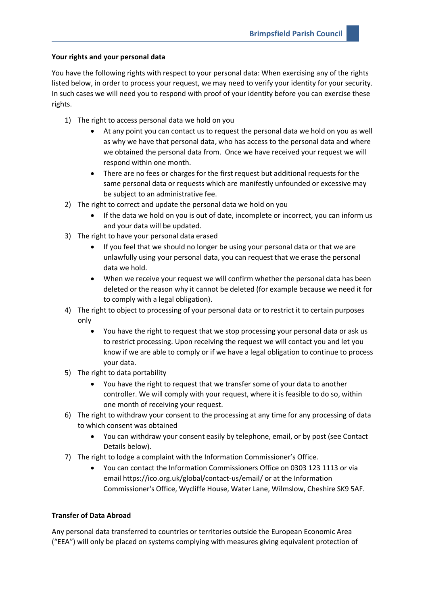# **Your rights and your personal data**

You have the following rights with respect to your personal data: When exercising any of the rights listed below, in order to process your request, we may need to verify your identity for your security. In such cases we will need you to respond with proof of your identity before you can exercise these rights.

- 1) The right to access personal data we hold on you
	- At any point you can contact us to request the personal data we hold on you as well as why we have that personal data, who has access to the personal data and where we obtained the personal data from. Once we have received your request we will respond within one month.
	- There are no fees or charges for the first request but additional requests for the same personal data or requests which are manifestly unfounded or excessive may be subject to an administrative fee.
- 2) The right to correct and update the personal data we hold on you
	- If the data we hold on you is out of date, incomplete or incorrect, you can inform us and your data will be updated.
- 3) The right to have your personal data erased
	- If you feel that we should no longer be using your personal data or that we are unlawfully using your personal data, you can request that we erase the personal data we hold.
	- When we receive your request we will confirm whether the personal data has been deleted or the reason why it cannot be deleted (for example because we need it for to comply with a legal obligation).
- 4) The right to object to processing of your personal data or to restrict it to certain purposes only
	- You have the right to request that we stop processing your personal data or ask us to restrict processing. Upon receiving the request we will contact you and let you know if we are able to comply or if we have a legal obligation to continue to process your data.
- 5) The right to data portability
	- You have the right to request that we transfer some of your data to another controller. We will comply with your request, where it is feasible to do so, within one month of receiving your request.
- 6) The right to withdraw your consent to the processing at any time for any processing of data to which consent was obtained
	- You can withdraw your consent easily by telephone, email, or by post (see Contact Details below).
- 7) The right to lodge a complaint with the Information Commissioner's Office.
	- You can contact the Information Commissioners Office on 0303 123 1113 or via email https://ico.org.uk/global/contact-us/email/ or at the Information Commissioner's Office, Wycliffe House, Water Lane, Wilmslow, Cheshire SK9 5AF.

# **Transfer of Data Abroad**

Any personal data transferred to countries or territories outside the European Economic Area ("EEA") will only be placed on systems complying with measures giving equivalent protection of